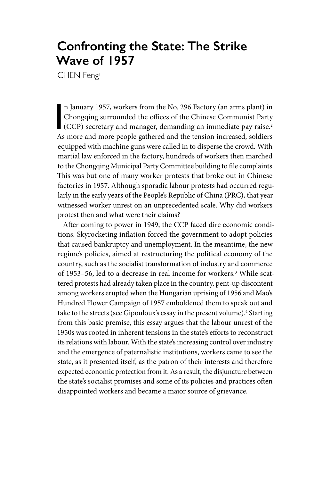# **Confronting the State: The Strike Wave of 1957**

CHEN Feng<sup>1</sup>

n January 1957, workers from the No. 296 Factory (an arms plant) in<br>Chongqing surrounded the offices of the Chinese Communist Party<br>(CCP) secretary and manager, demanding an immediate pay raise.<sup>2</sup> n January 1957, workers from the No. 296 Factory (an arms plant) in Chongqing surrounded the offices of the Chinese Communist Party As more and more people gathered and the tension increased, soldiers equipped with machine guns were called in to disperse the crowd. With martial law enforced in the factory, hundreds of workers then marched to the Chongqing Municipal Party Committee building to file complaints. This was but one of many worker protests that broke out in Chinese factories in 1957. Although sporadic labour protests had occurred regularly in the early years of the People's Republic of China (PRC), that year witnessed worker unrest on an unprecedented scale. Why did workers protest then and what were their claims?

After coming to power in 1949, the CCP faced dire economic conditions. Skyrocketing inflation forced the government to adopt policies that caused bankruptcy and unemployment. In the meantime, the new regime's policies, aimed at restructuring the political economy of the country, such as the socialist transformation of industry and commerce of 1953–56, led to a decrease in real income for workers.3 While scattered protests had already taken place in the country, pent-up discontent among workers erupted when the Hungarian uprising of 1956 and Mao's Hundred Flower Campaign of 1957 emboldened them to speak out and take to the streets (see Gipouloux's essay in the present volume).<sup>4</sup> Starting from this basic premise, this essay argues that the labour unrest of the 1950s was rooted in inherent tensions in the state's efforts to reconstruct its relations with labour. With the state's increasing control over industry and the emergence of paternalistic institutions, workers came to see the state, as it presented itself, as the patron of their interests and therefore expected economic protection from it. As a result, the disjuncture between the state's socialist promises and some of its policies and practices often disappointed workers and became a major source of grievance.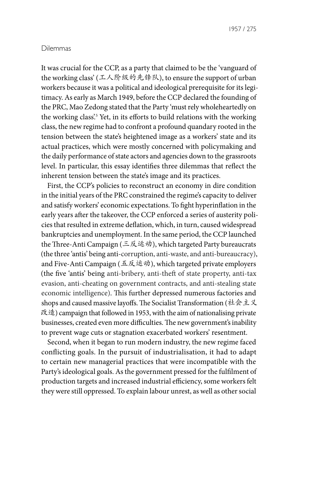#### Dilemmas

It was crucial for the CCP, as a party that claimed to be the 'vanguard of the working class' (工人阶级的先锋队), to ensure the support of urban workers because it was a political and ideological prerequisite for its legitimacy. As early as March 1949, before the CCP declared the founding of the PRC, Mao Zedong stated that the Party 'must rely wholeheartedly on the working class?<sup>5</sup> Yet, in its efforts to build relations with the working class, the new regime had to confront a profound quandary rooted in the tension between the state's heightened image as a workers' state and its actual practices, which were mostly concerned with policymaking and the daily performance of state actors and agencies down to the grassroots level. In particular, this essay identifies three dilemmas that reflect the inherent tension between the state's image and its practices.

First, the CCP's policies to reconstruct an economy in dire condition in the initial years of the PRC constrained the regime's capacity to deliver and satisfy workers' economic expectations. To fight hyperinflation in the early years after the takeover, the CCP enforced a series of austerity policies that resulted in extreme deflation, which, in turn, caused widespread bankruptcies and unemployment. In the same period, the CCP launched the Three-Anti Campaign (三反运动), which targeted Party bureaucrats (the three 'antis' being anti-corruption, anti-waste, and anti-bureaucracy), and Five-Anti Campaign (五反运动), which targeted private employers (the five 'antis' being anti-bribery, anti-theft of state property, anti-tax evasion, anti-cheating on government contracts, and anti-stealing state economic intelligence). This further depressed numerous factories and shops and caused massive layoffs. The Socialist Transformation (社会主义 改造) campaign that followed in 1953, with the aim of nationalising private businesses, created even more difficulties. The new government's inability to prevent wage cuts or stagnation exacerbated workers' resentment.

Second, when it began to run modern industry, the new regime faced conflicting goals. In the pursuit of industrialisation, it had to adapt to certain new managerial practices that were incompatible with the Party's ideological goals. As the government pressed for the fulfilment of production targets and increased industrial efficiency, some workers felt they were still oppressed. To explain labour unrest, as well as other social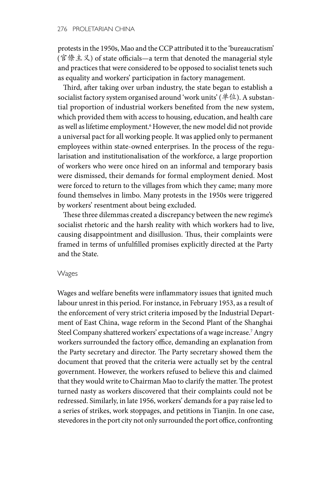protests in the 1950s, Mao and the CCP attributed it to the 'bureaucratism' (官僚主义) of state officials—a term that denoted the managerial style and practices that were considered to be opposed to socialist tenets such as equality and workers' participation in factory management.

Third, after taking over urban industry, the state began to establish a socialist factory system organised around 'work units' (单位). A substantial proportion of industrial workers benefited from the new system, which provided them with access to housing, education, and health care as well as lifetime employment.6 However, the new model did not provide a universal pact for all working people. It was applied only to permanent employees within state-owned enterprises. In the process of the regularisation and institutionalisation of the workforce, a large proportion of workers who were once hired on an informal and temporary basis were dismissed, their demands for formal employment denied. Most were forced to return to the villages from which they came; many more found themselves in limbo. Many protests in the 1950s were triggered by workers' resentment about being excluded.

These three dilemmas created a discrepancy between the new regime's socialist rhetoric and the harsh reality with which workers had to live, causing disappointment and disillusion. Thus, their complaints were framed in terms of unfulfilled promises explicitly directed at the Party and the State.

#### Wages

Wages and welfare benefits were inflammatory issues that ignited much labour unrest in this period. For instance, in February 1953, as a result of the enforcement of very strict criteria imposed by the Industrial Department of East China, wage reform in the Second Plant of the Shanghai Steel Company shattered workers' expectations of a wage increase.7 Angry workers surrounded the factory office, demanding an explanation from the Party secretary and director. The Party secretary showed them the document that proved that the criteria were actually set by the central government. However, the workers refused to believe this and claimed that they would write to Chairman Mao to clarify the matter. The protest turned nasty as workers discovered that their complaints could not be redressed. Similarly, in late 1956, workers' demands for a pay raise led to a series of strikes, work stoppages, and petitions in Tianjin. In one case, stevedores in the port city not only surrounded the port office, confronting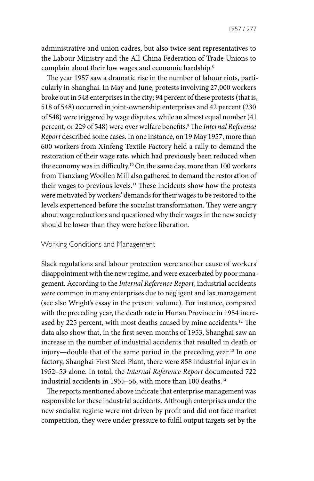1957 / 277

administrative and union cadres, but also twice sent representatives to the Labour Ministry and the All-China Federation of Trade Unions to complain about their low wages and economic hardship.8

The year 1957 saw a dramatic rise in the number of labour riots, particularly in Shanghai. In May and June, protests involving 27,000 workers broke out in 548 enterprises in the city; 94 percent of these protests (that is, 518 of 548) occurred in joint-ownership enterprises and 42 percent (230 of 548) were triggered by wage disputes, while an almost equal number (41 percent, or 229 of 548) were over welfare benefits.9 The *Internal Reference Report* described some cases. In one instance, on 19 May 1957, more than 600 workers from Xinfeng Textile Factory held a rally to demand the restoration of their wage rate, which had previously been reduced when the economy was in difficulty.<sup>10</sup> On the same day, more than 100 workers from Tianxiang Woollen Mill also gathered to demand the restoration of their wages to previous levels.11 These incidents show how the protests were motivated by workers' demands for their wages to be restored to the levels experienced before the socialist transformation. They were angry about wage reductions and questioned why their wages in the new society should be lower than they were before liberation.

#### Working Conditions and Management

Slack regulations and labour protection were another cause of workers' disappointment with the new regime, and were exacerbated by poor management. According to the *Internal Reference Report*, industrial accidents were common in many enterprises due to negligent and lax management (see also Wright's essay in the present volume). For instance, compared with the preceding year, the death rate in Hunan Province in 1954 increased by 225 percent, with most deaths caused by mine accidents.<sup>12</sup> The data also show that, in the first seven months of 1953, Shanghai saw an increase in the number of industrial accidents that resulted in death or injury—double that of the same period in the preceding year.13 In one factory, Shanghai First Steel Plant, there were 858 industrial injuries in 1952–53 alone. In total, the *Internal Reference Report* documented 722 industrial accidents in 1955–56, with more than 100 deaths.<sup>14</sup>

The reports mentioned above indicate that enterprise management was responsible for these industrial accidents. Although enterprises under the new socialist regime were not driven by profit and did not face market competition, they were under pressure to fulfil output targets set by the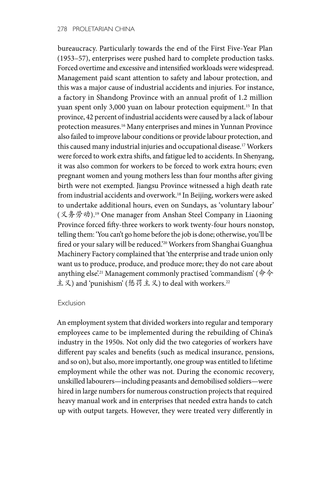bureaucracy. Particularly towards the end of the First Five-Year Plan (1953–57), enterprises were pushed hard to complete production tasks. Forced overtime and excessive and intensified workloads were widespread. Management paid scant attention to safety and labour protection, and this was a major cause of industrial accidents and injuries. For instance, a factory in Shandong Province with an annual profit of 1.2 million yuan spent only 3,000 yuan on labour protection equipment.<sup>15</sup> In that province, 42 percent of industrial accidents were caused by a lack of labour protection measures.16 Many enterprises and mines in Yunnan Province also failed to improve labour conditions or provide labour protection, and this caused many industrial injuries and occupational disease.17 Workers were forced to work extra shifts, and fatigue led to accidents. In Shenyang, it was also common for workers to be forced to work extra hours; even pregnant women and young mothers less than four months after giving birth were not exempted. Jiangsu Province witnessed a high death rate from industrial accidents and overwork.18 In Beijing, workers were asked to undertake additional hours, even on Sundays, as 'voluntary labour' (义务劳动).19 One manager from Anshan Steel Company in Liaoning Province forced fifty-three workers to work twenty-four hours nonstop, telling them: 'You can't go home before the job is done; otherwise, you'll be fired or your salary will be reduced.'<sup>20</sup> Workers from Shanghai Guanghua Machinery Factory complained that 'the enterprise and trade union only want us to produce, produce, and produce more; they do not care about anything else<sup>21</sup> Management commonly practised 'commandism' (命令 主义) and 'punishism' (惩罚主义) to deal with workers.<sup>22</sup>

## Exclusion

An employment system that divided workers into regular and temporary employees came to be implemented during the rebuilding of China's industry in the 1950s. Not only did the two categories of workers have different pay scales and benefits (such as medical insurance, pensions, and so on), but also, more importantly, one group was entitled to lifetime employment while the other was not. During the economic recovery, unskilled labourers—including peasants and demobilised soldiers—were hired in large numbers for numerous construction projects that required heavy manual work and in enterprises that needed extra hands to catch up with output targets. However, they were treated very differently in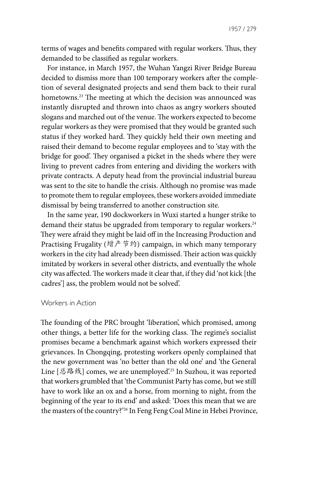terms of wages and benefits compared with regular workers. Thus, they demanded to be classified as regular workers.

For instance, in March 1957, the Wuhan Yangzi River Bridge Bureau decided to dismiss more than 100 temporary workers after the completion of several designated projects and send them back to their rural hometowns.<sup>23</sup> The meeting at which the decision was announced was instantly disrupted and thrown into chaos as angry workers shouted slogans and marched out of the venue. The workers expected to become regular workers as they were promised that they would be granted such status if they worked hard. They quickly held their own meeting and raised their demand to become regular employees and to 'stay with the bridge for good'. They organised a picket in the sheds where they were living to prevent cadres from entering and dividing the workers with private contracts. A deputy head from the provincial industrial bureau was sent to the site to handle the crisis. Although no promise was made to promote them to regular employees, these workers avoided immediate dismissal by being transferred to another construction site.

In the same year, 190 dockworkers in Wuxi started a hunger strike to demand their status be upgraded from temporary to regular workers.<sup>24</sup> They were afraid they might be laid off in the Increasing Production and Practising Frugality (增产节约) campaign, in which many temporary workers in the city had already been dismissed. Their action was quickly imitated by workers in several other districts, and eventually the whole city was affected. The workers made it clear that, if they did 'not kick [the cadres'] ass, the problem would not be solved'.

#### Workers in Action

The founding of the PRC brought 'liberation', which promised, among other things, a better life for the working class. The regime's socialist promises became a benchmark against which workers expressed their grievances. In Chongqing, protesting workers openly complained that the new government was 'no better than the old one' and 'the General Line [总路线] comes, we are unemployed'.25 In Suzhou, it was reported that workers grumbled that 'the Communist Party has come, but we still have to work like an ox and a horse, from morning to night, from the beginning of the year to its end' and asked: 'Does this mean that we are the masters of the country?'26 In Feng Feng Coal Mine in Hebei Province,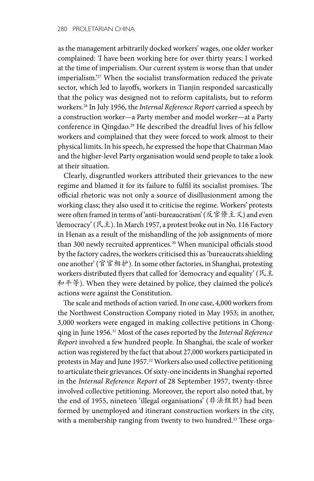as the management arbitrarily docked workers' wages, one older worker complained: 'I have been working here for over thirty years; I worked at the time of imperialism. Our current system is worse than that under imperialism.'<sup>27</sup> When the socialist transformation reduced the private sector, which led to layoffs, workers in Tianjin responded sarcastically that the policy was designed not to reform capitalists, but to reform workers.28 In July 1956, the *Internal Reference Report* carried a speech by a construction worker—a Party member and model worker—at a Party conference in Qingdao.<sup>29</sup> He described the dreadful lives of his fellow workers and complained that they were forced to work almost to their physical limits. In his speech, he expressed the hope that Chairman Mao and the higher-level Party organisation would send people to take a look at their situation.

Clearly, disgruntled workers attributed their grievances to the new regime and blamed it for its failure to fulfil its socialist promises. The official rhetoric was not only a source of disillusionment among the working class; they also used it to criticise the regime. Workers' protests were often framed in terms of 'anti-bureaucratism' (反官僚主义) and even 'democracy' (民主). In March 1957, a protest broke out in No. 116 Factory in Henan as a result of the mishandling of the job assignments of more than 300 newly recruited apprentices.<sup>30</sup> When municipal officials stood by the factory cadres, the workers criticised this as 'bureaucrats shielding one another' (官官相护). In some other factories, in Shanghai, protesting workers distributed flyers that called for 'democracy and equality' (民主 和平等). When they were detained by police, they claimed the police's actions were against the Constitution.

The scale and methods of action varied. In one case, 4,000 workers from the Northwest Construction Company rioted in May 1953; in another, 3,000 workers were engaged in making collective petitions in Chongqing in June 1956.31 Most of the cases reported by the *Internal Reference Report* involved a few hundred people. In Shanghai, the scale of worker action was registered by the fact that about 27,000 workers participated in protests in May and June 1957.<sup>32</sup> Workers also used collective petitioning to articulate their grievances. Of sixty-one incidents in Shanghai reported in the *Internal Reference Report* of 28 September 1957, twenty-three involved collective petitioning. Moreover, the report also noted that, by the end of 1955, nineteen 'illegal organisations' (非法组织) had been formed by unemployed and itinerant construction workers in the city, with a membership ranging from twenty to two hundred.<sup>33</sup> These orga-